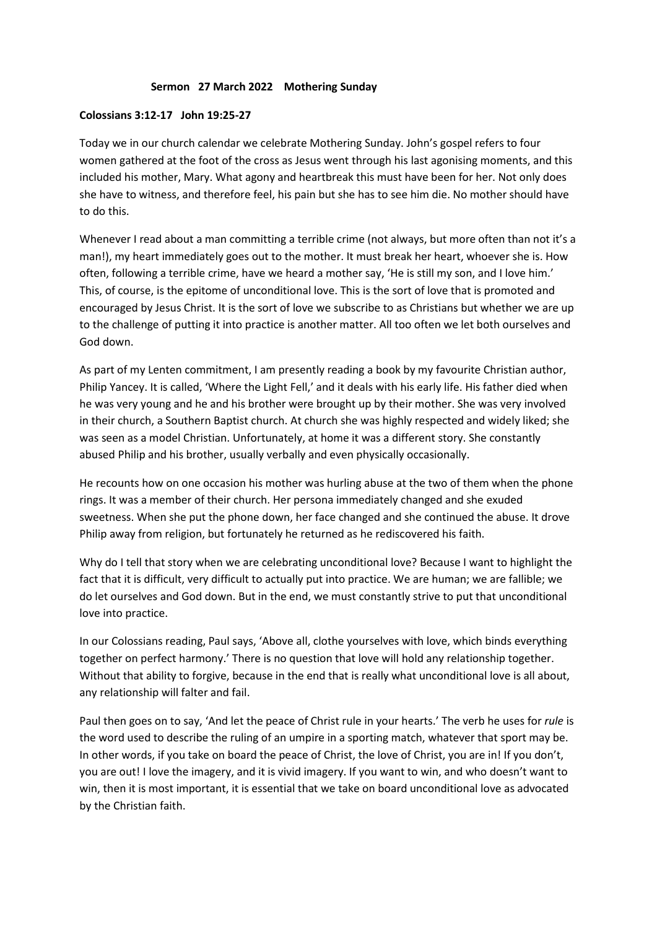## **Sermon 27 March 2022 Mothering Sunday**

## **Colossians 3:12-17 John 19:25-27**

Today we in our church calendar we celebrate Mothering Sunday. John's gospel refers to four women gathered at the foot of the cross as Jesus went through his last agonising moments, and this included his mother, Mary. What agony and heartbreak this must have been for her. Not only does she have to witness, and therefore feel, his pain but she has to see him die. No mother should have to do this.

Whenever I read about a man committing a terrible crime (not always, but more often than not it's a man!), my heart immediately goes out to the mother. It must break her heart, whoever she is. How often, following a terrible crime, have we heard a mother say, 'He is still my son, and I love him.' This, of course, is the epitome of unconditional love. This is the sort of love that is promoted and encouraged by Jesus Christ. It is the sort of love we subscribe to as Christians but whether we are up to the challenge of putting it into practice is another matter. All too often we let both ourselves and God down.

As part of my Lenten commitment, I am presently reading a book by my favourite Christian author, Philip Yancey. It is called, 'Where the Light Fell,' and it deals with his early life. His father died when he was very young and he and his brother were brought up by their mother. She was very involved in their church, a Southern Baptist church. At church she was highly respected and widely liked; she was seen as a model Christian. Unfortunately, at home it was a different story. She constantly abused Philip and his brother, usually verbally and even physically occasionally.

He recounts how on one occasion his mother was hurling abuse at the two of them when the phone rings. It was a member of their church. Her persona immediately changed and she exuded sweetness. When she put the phone down, her face changed and she continued the abuse. It drove Philip away from religion, but fortunately he returned as he rediscovered his faith.

Why do I tell that story when we are celebrating unconditional love? Because I want to highlight the fact that it is difficult, very difficult to actually put into practice. We are human; we are fallible; we do let ourselves and God down. But in the end, we must constantly strive to put that unconditional love into practice.

In our Colossians reading, Paul says, 'Above all, clothe yourselves with love, which binds everything together on perfect harmony.' There is no question that love will hold any relationship together. Without that ability to forgive, because in the end that is really what unconditional love is all about, any relationship will falter and fail.

Paul then goes on to say, 'And let the peace of Christ rule in your hearts.' The verb he uses for *rule* is the word used to describe the ruling of an umpire in a sporting match, whatever that sport may be. In other words, if you take on board the peace of Christ, the love of Christ, you are in! If you don't, you are out! I love the imagery, and it is vivid imagery. If you want to win, and who doesn't want to win, then it is most important, it is essential that we take on board unconditional love as advocated by the Christian faith.